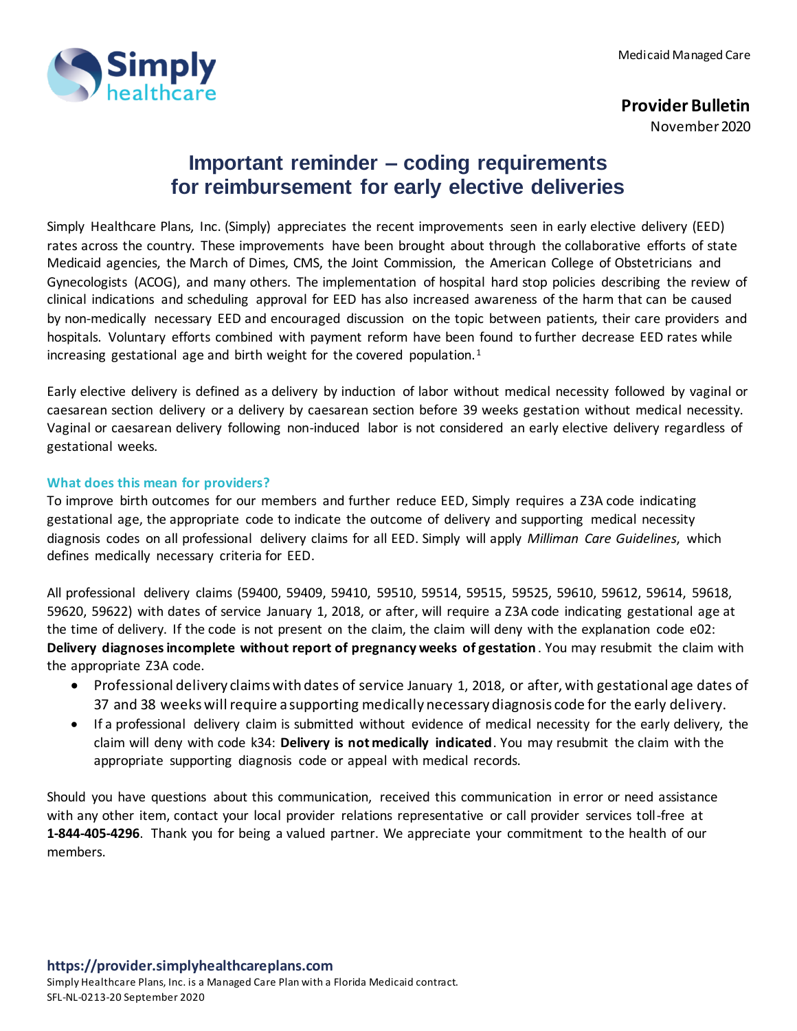

## **Provider Bulletin**

November 2020

## **Important reminder – coding requirements for reimbursement for early elective deliveries**

Simply Healthcare Plans, Inc. (Simply) appreciates the recent improvements seen in early elective delivery (EED) rates across the country. These improvements have been brought about through the collaborative efforts of state Medicaid agencies, the March of Dimes, CMS, the Joint Commission, the American College of Obstetricians and Gynecologists (ACOG), and many others. The implementation of hospital hard stop policies describing the review of clinical indications and scheduling approval for EED has also increased awareness of the harm that can be caused by non-medically necessary EED and encouraged discussion on the topic between patients, their care providers and hospitals. Voluntary efforts combined with payment reform have been found to further decrease EED rates while increasing gestational age and birth weight for the covered population. $1$ 

Early elective delivery is defined as a delivery by induction of labor without medical necessity followed by vaginal or caesarean section delivery or a delivery by caesarean section before 39 weeks gestation without medical necessity. Vaginal or caesarean delivery following non-induced labor is not considered an early elective delivery regardless of gestational weeks.

## **What does this mean for providers?**

To improve birth outcomes for our members and further reduce EED, Simply requires a Z3A code indicating gestational age, the appropriate code to indicate the outcome of delivery and supporting medical necessity diagnosis codes on all professional delivery claims for all EED. Simply will apply *Milliman Care Guidelines*, which defines medically necessary criteria for EED.

All professional delivery claims (59400, 59409, 59410, 59510, 59514, 59515, 59525, 59610, 59612, 59614, 59618, 59620, 59622) with dates of service January 1, 2018, or after, will require a Z3A code indicating gestational age at the time of delivery. If the code is not present on the claim, the claim will deny with the explanation code e02: **Delivery diagnoses incomplete without report of pregnancy weeks of gestation**. You may resubmit the claim with the appropriate Z3A code.

- Professional delivery claims with dates of service January 1, 2018, or after, with gestational age dates of 37 and 38 weeks will require a supporting medically necessary diagnosis code for the early delivery.
- If a professional delivery claim is submitted without evidence of medical necessity for the early delivery, the claim will deny with code k34: **Delivery is not medically indicated**. You may resubmit the claim with the appropriate supporting diagnosis code or appeal with medical records.

Should you have questions about this communication, received this communication in error or need assistance with any other item, contact your local provider relations representative or call provider services toll-free at **1-844-405-4296**. Thank you for being a valued partner. We appreciate your commitment to the health of our members.